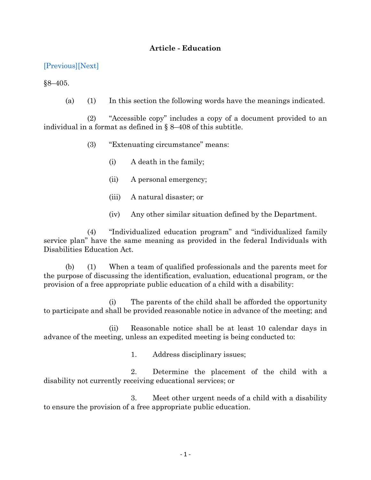## **Article - Education**

[\[Previous\]](http://mgaleg.maryland.gov/2021RS/Statute_Web/ged/8-404.pdf)[\[Next\]](http://mgaleg.maryland.gov/2021RS/Statute_Web/ged/8-406.pdf)

 $§8 - 405.$ 

(a) (1) In this section the following words have the meanings indicated.

(2) "Accessible copy" includes a copy of a document provided to an individual in a format as defined in § 8–408 of this subtitle.

- (3) "Extenuating circumstance" means:
	- (i) A death in the family;
	- (ii) A personal emergency;
	- (iii) A natural disaster; or
	- (iv) Any other similar situation defined by the Department.

(4) "Individualized education program" and "individualized family service plan" have the same meaning as provided in the federal Individuals with Disabilities Education Act.

(b) (1) When a team of qualified professionals and the parents meet for the purpose of discussing the identification, evaluation, educational program, or the provision of a free appropriate public education of a child with a disability:

(i) The parents of the child shall be afforded the opportunity to participate and shall be provided reasonable notice in advance of the meeting; and

(ii) Reasonable notice shall be at least 10 calendar days in advance of the meeting, unless an expedited meeting is being conducted to:

1. Address disciplinary issues;

2. Determine the placement of the child with a disability not currently receiving educational services; or

3. Meet other urgent needs of a child with a disability to ensure the provision of a free appropriate public education.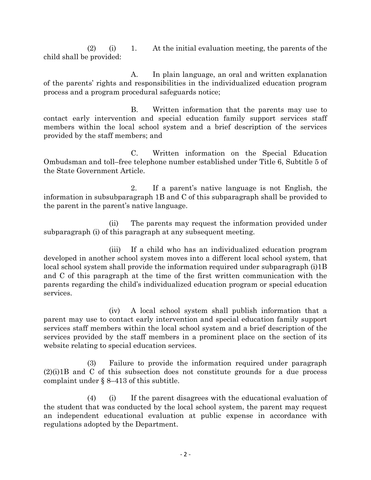$(2)$  (i) 1. At the initial evaluation meeting, the parents of the child shall be provided:

A. In plain language, an oral and written explanation of the parents' rights and responsibilities in the individualized education program process and a program procedural safeguards notice;

B. Written information that the parents may use to contact early intervention and special education family support services staff members within the local school system and a brief description of the services provided by the staff members; and

C. Written information on the Special Education Ombudsman and toll–free telephone number established under Title 6, Subtitle 5 of the State Government Article.

2. If a parent's native language is not English, the information in subsubparagraph 1B and C of this subparagraph shall be provided to the parent in the parent's native language.

(ii) The parents may request the information provided under subparagraph (i) of this paragraph at any subsequent meeting.

(iii) If a child who has an individualized education program developed in another school system moves into a different local school system, that local school system shall provide the information required under subparagraph (i)1B and C of this paragraph at the time of the first written communication with the parents regarding the child's individualized education program or special education services.

(iv) A local school system shall publish information that a parent may use to contact early intervention and special education family support services staff members within the local school system and a brief description of the services provided by the staff members in a prominent place on the section of its website relating to special education services.

(3) Failure to provide the information required under paragraph (2)(i)1B and C of this subsection does not constitute grounds for a due process complaint under § 8–413 of this subtitle.

(4) (i) If the parent disagrees with the educational evaluation of the student that was conducted by the local school system, the parent may request an independent educational evaluation at public expense in accordance with regulations adopted by the Department.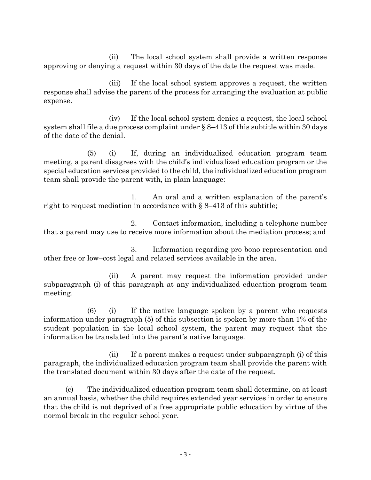(ii) The local school system shall provide a written response approving or denying a request within 30 days of the date the request was made.

(iii) If the local school system approves a request, the written response shall advise the parent of the process for arranging the evaluation at public expense.

(iv) If the local school system denies a request, the local school system shall file a due process complaint under § 8–413 of this subtitle within 30 days of the date of the denial.

(5) (i) If, during an individualized education program team meeting, a parent disagrees with the child's individualized education program or the special education services provided to the child, the individualized education program team shall provide the parent with, in plain language:

1. An oral and a written explanation of the parent's right to request mediation in accordance with § 8–413 of this subtitle;

2. Contact information, including a telephone number that a parent may use to receive more information about the mediation process; and

3. Information regarding pro bono representation and other free or low–cost legal and related services available in the area.

(ii) A parent may request the information provided under subparagraph (i) of this paragraph at any individualized education program team meeting.

(6) (i) If the native language spoken by a parent who requests information under paragraph (5) of this subsection is spoken by more than 1% of the student population in the local school system, the parent may request that the information be translated into the parent's native language.

(ii) If a parent makes a request under subparagraph (i) of this paragraph, the individualized education program team shall provide the parent with the translated document within 30 days after the date of the request.

(c) The individualized education program team shall determine, on at least an annual basis, whether the child requires extended year services in order to ensure that the child is not deprived of a free appropriate public education by virtue of the normal break in the regular school year.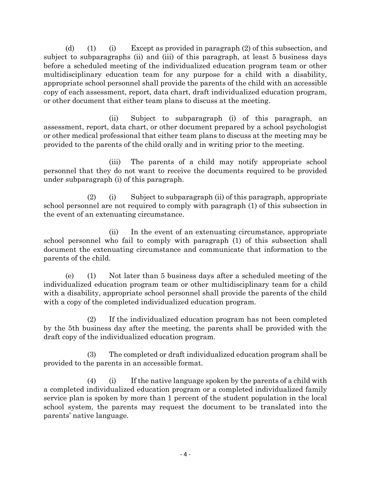(d) (1) (i) Except as provided in paragraph (2) of this subsection, and subject to subparagraphs (ii) and (iii) of this paragraph, at least 5 business days before a scheduled meeting of the individualized education program team or other multidisciplinary education team for any purpose for a child with a disability, appropriate school personnel shall provide the parents of the child with an accessible copy of each assessment, report, data chart, draft individualized education program, or other document that either team plans to discuss at the meeting.

(ii) Subject to subparagraph (i) of this paragraph, an assessment, report, data chart, or other document prepared by a school psychologist or other medical professional that either team plans to discuss at the meeting may be provided to the parents of the child orally and in writing prior to the meeting.

(iii) The parents of a child may notify appropriate school personnel that they do not want to receive the documents required to be provided under subparagraph (i) of this paragraph.

(2) (i) Subject to subparagraph (ii) of this paragraph, appropriate school personnel are not required to comply with paragraph (1) of this subsection in the event of an extenuating circumstance.

(ii) In the event of an extenuating circumstance, appropriate school personnel who fail to comply with paragraph (1) of this subsection shall document the extenuating circumstance and communicate that information to the parents of the child.

(e) (1) Not later than 5 business days after a scheduled meeting of the individualized education program team or other multidisciplinary team for a child with a disability, appropriate school personnel shall provide the parents of the child with a copy of the completed individualized education program.

(2) If the individualized education program has not been completed by the 5th business day after the meeting, the parents shall be provided with the draft copy of the individualized education program.

(3) The completed or draft individualized education program shall be provided to the parents in an accessible format.

 $(4)$  (i) If the native language spoken by the parents of a child with a completed individualized education program or a completed individualized family service plan is spoken by more than 1 percent of the student population in the local school system, the parents may request the document to be translated into the parents' native language.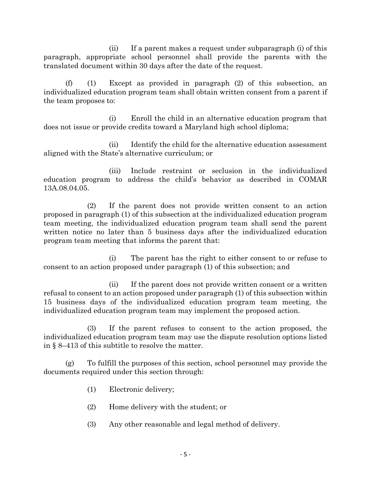(ii) If a parent makes a request under subparagraph (i) of this paragraph, appropriate school personnel shall provide the parents with the translated document within 30 days after the date of the request.

(f) (1) Except as provided in paragraph (2) of this subsection, an individualized education program team shall obtain written consent from a parent if the team proposes to:

(i) Enroll the child in an alternative education program that does not issue or provide credits toward a Maryland high school diploma;

(ii) Identify the child for the alternative education assessment aligned with the State's alternative curriculum; or

(iii) Include restraint or seclusion in the individualized education program to address the child's behavior as described in COMAR 13A.08.04.05.

(2) If the parent does not provide written consent to an action proposed in paragraph (1) of this subsection at the individualized education program team meeting, the individualized education program team shall send the parent written notice no later than 5 business days after the individualized education program team meeting that informs the parent that:

(i) The parent has the right to either consent to or refuse to consent to an action proposed under paragraph (1) of this subsection; and

(ii) If the parent does not provide written consent or a written refusal to consent to an action proposed under paragraph (1) of this subsection within 15 business days of the individualized education program team meeting, the individualized education program team may implement the proposed action.

(3) If the parent refuses to consent to the action proposed, the individualized education program team may use the dispute resolution options listed in § 8–413 of this subtitle to resolve the matter.

(g) To fulfill the purposes of this section, school personnel may provide the documents required under this section through:

- (1) Electronic delivery;
- (2) Home delivery with the student; or
- (3) Any other reasonable and legal method of delivery.